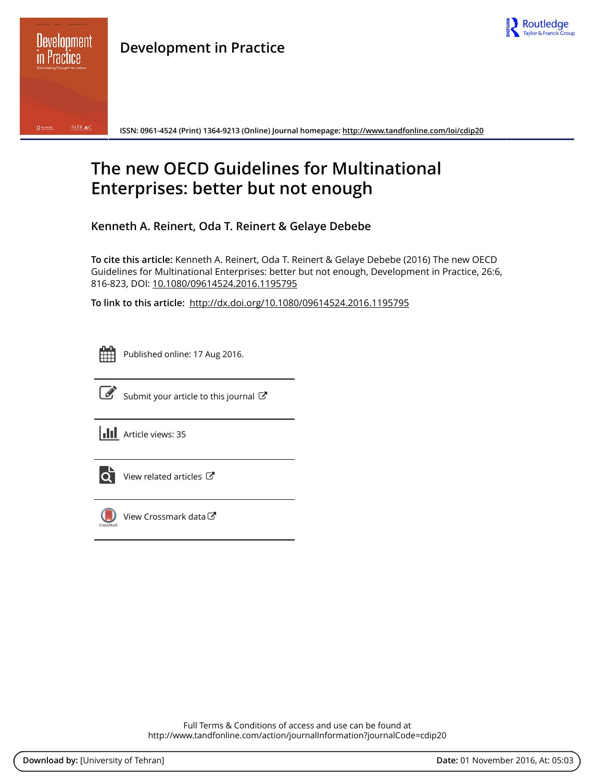

# Development in Practice **INTRAC**

**Development in Practice**

**ISSN: 0961-4524 (Print) 1364-9213 (Online) Journal homepage:<http://www.tandfonline.com/loi/cdip20>**

## **The new OECD Guidelines for Multinational Enterprises: better but not enough**

**Kenneth A. Reinert, Oda T. Reinert & Gelaye Debebe**

**To cite this article:** Kenneth A. Reinert, Oda T. Reinert & Gelaye Debebe (2016) The new OECD Guidelines for Multinational Enterprises: better but not enough, Development in Practice, 26:6, 816-823, DOI: [10.1080/09614524.2016.1195795](http://www.tandfonline.com/action/showCitFormats?doi=10.1080/09614524.2016.1195795)

**To link to this article:** <http://dx.doi.org/10.1080/09614524.2016.1195795>

Published online: 17 Aug 2016.



 $\overline{\mathscr{L}}$  [Submit your article to this journal](http://www.tandfonline.com/action/authorSubmission?journalCode=cdip20&show=instructions)  $\mathbb{Z}$ 

**III** Article views: 35



 $\overrightarrow{Q}$  [View related articles](http://www.tandfonline.com/doi/mlt/10.1080/09614524.2016.1195795)  $\overrightarrow{C}$ 



 $\bigcirc$  [View Crossmark data](http://crossmark.crossref.org/dialog/?doi=10.1080/09614524.2016.1195795&domain=pdf&date_stamp=2016-08-17) $\mathbb{Z}$ 

Full Terms & Conditions of access and use can be found at <http://www.tandfonline.com/action/journalInformation?journalCode=cdip20>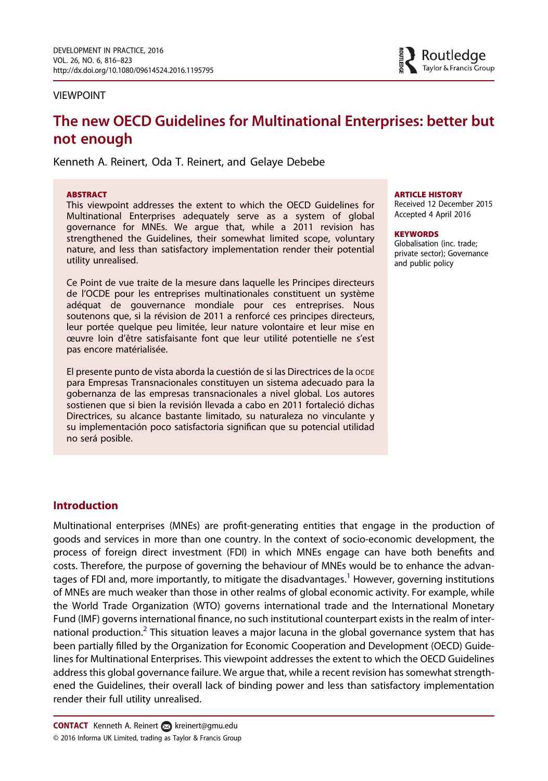#### VIEWPOINT

### The new OECD Guidelines for Multinational Enterprises: better but not enough

Kenneth A. Reinert, Oda T. Reinert, and Gelaye Debebe

#### ABSTRACT

This viewpoint addresses the extent to which the OECD Guidelines for Multinational Enterprises adequately serve as a system of global governance for MNEs. We argue that, while a 2011 revision has strengthened the Guidelines, their somewhat limited scope, voluntary nature, and less than satisfactory implementation render their potential utility unrealised.

Ce Point de vue traite de la mesure dans laquelle les Principes directeurs de l'OCDE pour les entreprises multinationales constituent un système adéquat de gouvernance mondiale pour ces entreprises. Nous soutenons que, si la révision de 2011 a renforcé ces principes directeurs, leur portée quelque peu limitée, leur nature volontaire et leur mise en œuvre loin d'être satisfaisante font que leur utilité potentielle ne s'est pas encore matérialisée.

El presente punto de vista aborda la cuestión de si las Directrices de la OCDE para Empresas Transnacionales constituyen un sistema adecuado para la gobernanza de las empresas transnacionales a nivel global. Los autores sostienen que si bien la revisión llevada a cabo en 2011 fortaleció dichas Directrices, su alcance bastante limitado, su naturaleza no vinculante y su implementación poco satisfactoria significan que su potencial utilidad no será posible.

#### ARTICLE HISTORY

Received 12 December 2015 Accepted 4 April 2016

Routledae Taylor & Francis Group

#### **KEYWORDS**

Globalisation (inc. trade; private sector); Governance and public policy

#### Introduction

Multinational enterprises (MNEs) are profit-generating entities that engage in the production of goods and services in more than one country. In the context of socio-economic development, the process of foreign direct investment (FDI) in which MNEs engage can have both benefits and costs. Therefore, the purpose of governing the behaviour of MNEs would be to enhance the advantages of FDI and, more importantly, to mitigate the disadvantages.<sup>1</sup> However, governing institutions of MNEs are much weaker than those in other realms of global economic activity. For example, while the World Trade Organization (WTO) governs international trade and the International Monetary Fund (IMF) governs international finance, no such institutional counterpart exists in the realm of inter-national production.<sup>[2](#page-5-0)</sup> This situation leaves a major lacuna in the global governance system that has been partially filled by the Organization for Economic Cooperation and Development (OECD) Guidelines for Multinational Enterprises. This viewpoint addresses the extent to which the OECD Guidelines address this global governance failure. We argue that, while a recent revision has somewhat strengthened the Guidelines, their overall lack of binding power and less than satisfactory implementation render their full utility unrealised.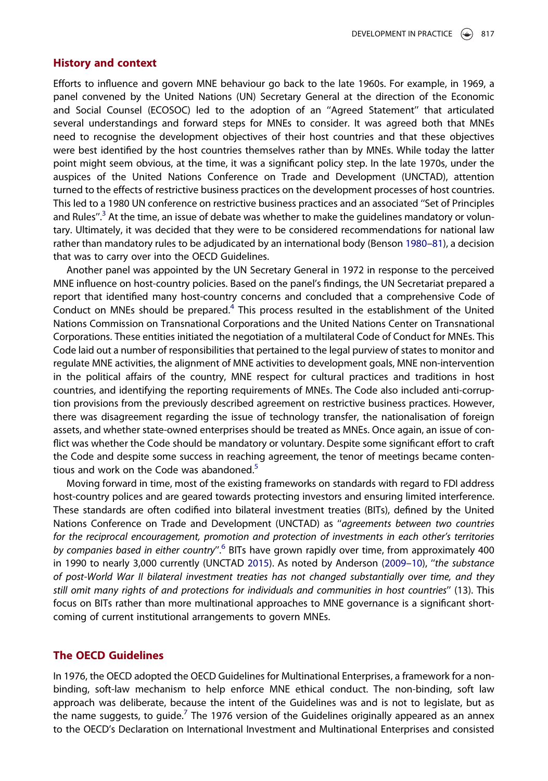#### <span id="page-2-0"></span>History and context

Efforts to influence and govern MNE behaviour go back to the late 1960s. For example, in 1969, a panel convened by the United Nations (UN) Secretary General at the direction of the Economic and Social Counsel (ECOSOC) led to the adoption of an ''Agreed Statement'' that articulated several understandings and forward steps for MNEs to consider. It was agreed both that MNEs need to recognise the development objectives of their host countries and that these objectives were best identified by the host countries themselves rather than by MNEs. While today the latter point might seem obvious, at the time, it was a significant policy step. In the late 1970s, under the auspices of the United Nations Conference on Trade and Development (UNCTAD), attention turned to the effects of restrictive business practices on the development processes of host countries. This led to a 1980 UN conference on restrictive business practices and an associated ''Set of Principles and Rules".<sup>[3](#page-5-0)</sup> At the time, an issue of debate was whether to make the guidelines mandatory or voluntary. Ultimately, it was decided that they were to be considered recommendations for national law rather than mandatory rules to be adjudicated by an international body (Benson [1980](#page-6-0)–[81\)](#page-6-0), a decision that was to carry over into the OECD Guidelines.

Another panel was appointed by the UN Secretary General in 1972 in response to the perceived MNE influence on host-country policies. Based on the panel's findings, the UN Secretariat prepared a report that identified many host-country concerns and concluded that a comprehensive Code of Conduct on MNEs should be prepared.<sup>[4](#page-5-0)</sup> This process resulted in the establishment of the United Nations Commission on Transnational Corporations and the United Nations Center on Transnational Corporations. These entities initiated the negotiation of a multilateral Code of Conduct for MNEs. This Code laid out a number of responsibilities that pertained to the legal purview of states to monitor and regulate MNE activities, the alignment of MNE activities to development goals, MNE non-intervention in the political affairs of the country, MNE respect for cultural practices and traditions in host countries, and identifying the reporting requirements of MNEs. The Code also included anti-corruption provisions from the previously described agreement on restrictive business practices. However, there was disagreement regarding the issue of technology transfer, the nationalisation of foreign assets, and whether state-owned enterprises should be treated as MNEs. Once again, an issue of conflict was whether the Code should be mandatory or voluntary. Despite some significant effort to craft the Code and despite some success in reaching agreement, the tenor of meetings became contentious and work on the Code was abandoned. $5$ 

Moving forward in time, most of the existing frameworks on standards with regard to FDI address host-country polices and are geared towards protecting investors and ensuring limited interference. These standards are often codified into bilateral investment treaties (BITs), defined by the United Nations Conference on Trade and Development (UNCTAD) as ''agreements between two countries for the reciprocal encouragement, promotion and protection of investments in each other's territories by companies based in either country".<sup>[6](#page-5-0)</sup> BITs have grown rapidly over time, from approximately 400 in 1990 to nearly 3,000 currently (UNCTAD [2015](#page-6-0)). As noted by Anderson [\(2009](#page-6-0)–[10](#page-6-0)), ''the substance of post-World War II bilateral investment treaties has not changed substantially over time, and they still omit many rights of and protections for individuals and communities in host countries'' (13). This focus on BITs rather than more multinational approaches to MNE governance is a significant shortcoming of current institutional arrangements to govern MNEs.

#### The OECD Guidelines

In 1976, the OECD adopted the OECD Guidelines for Multinational Enterprises, a framework for a nonbinding, soft-law mechanism to help enforce MNE ethical conduct. The non-binding, soft law approach was deliberate, because the intent of the Guidelines was and is not to legislate, but as the name suggests, to guide.<sup>[7](#page-5-0)</sup> The 1976 version of the Guidelines originally appeared as an annex to the OECD's Declaration on International Investment and Multinational Enterprises and consisted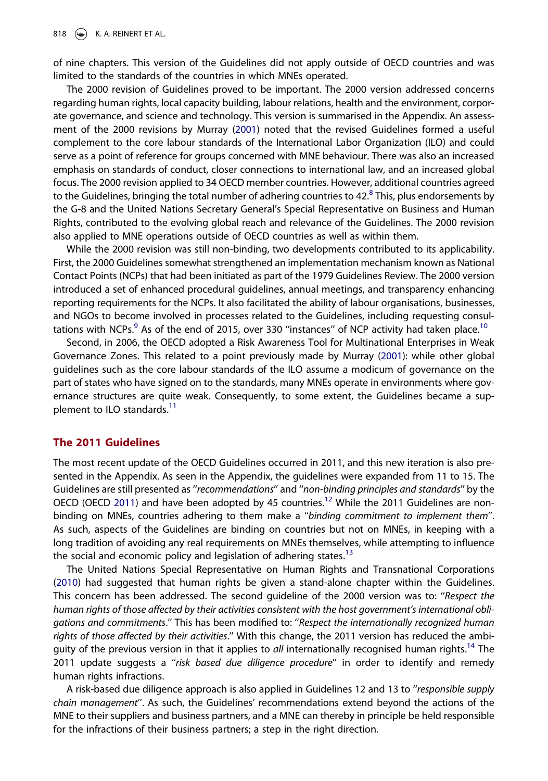<span id="page-3-0"></span>of nine chapters. This version of the Guidelines did not apply outside of OECD countries and was limited to the standards of the countries in which MNEs operated.

The 2000 revision of Guidelines proved to be important. The 2000 version addressed concerns regarding human rights, local capacity building, labour relations, health and the environment, corporate governance, and science and technology. This version is summarised in the Appendix. An assessment of the 2000 revisions by Murray ([2001](#page-6-0)) noted that the revised Guidelines formed a useful complement to the core labour standards of the International Labor Organization (ILO) and could serve as a point of reference for groups concerned with MNE behaviour. There was also an increased emphasis on standards of conduct, closer connections to international law, and an increased global focus. The 2000 revision applied to 34 OECD member countries. However, additional countries agreed to the Guidelines, bringing the total number of adhering countries to 42. $8$  This, plus endorsements by the G-8 and the United Nations Secretary General's Special Representative on Business and Human Rights, contributed to the evolving global reach and relevance of the Guidelines. The 2000 revision also applied to MNE operations outside of OECD countries as well as within them.

While the 2000 revision was still non-binding, two developments contributed to its applicability. First, the 2000 Guidelines somewhat strengthened an implementation mechanism known as National Contact Points (NCPs) that had been initiated as part of the 1979 Guidelines Review. The 2000 version introduced a set of enhanced procedural guidelines, annual meetings, and transparency enhancing reporting requirements for the NCPs. It also facilitated the ability of labour organisations, businesses, and NGOs to become involved in processes related to the Guidelines, including requesting consultations with NCPs. $9$  As of the end of 2015, over 330 "instances" of NCP activity had taken place.<sup>[10](#page-5-0)</sup>

Second, in 2006, the OECD adopted a Risk Awareness Tool for Multinational Enterprises in Weak Governance Zones. This related to a point previously made by Murray [\(2001](#page-6-0)): while other global guidelines such as the core labour standards of the ILO assume a modicum of governance on the part of states who have signed on to the standards, many MNEs operate in environments where governance structures are quite weak. Consequently, to some extent, the Guidelines became a sup-plement to ILO standards.<sup>[11](#page-5-0)</sup>

#### The 2011 Guidelines

The most recent update of the OECD Guidelines occurred in 2011, and this new iteration is also presented in the Appendix. As seen in the Appendix, the guidelines were expanded from 11 to 15. The Guidelines are still presented as ''recommendations'' and ''non-binding principles and standards'' by the OECD (OECD [2011\)](#page-6-0) and have been adopted by 45 countries.<sup>[12](#page-5-0)</sup> While the 2011 Guidelines are nonbinding on MNEs, countries adhering to them make a "binding commitment to implement them". As such, aspects of the Guidelines are binding on countries but not on MNEs, in keeping with a long tradition of avoiding any real requirements on MNEs themselves, while attempting to influence the social and economic policy and legislation of adhering states.<sup>[13](#page-5-0)</sup>

The United Nations Special Representative on Human Rights and Transnational Corporations ([2010](#page-6-0)) had suggested that human rights be given a stand-alone chapter within the Guidelines. This concern has been addressed. The second guideline of the 2000 version was to: "Respect the human rights of those affected by their activities consistent with the host government's international obligations and commitments.'' This has been modified to: ''Respect the internationally recognized human rights of those affected by their activities." With this change, the 2011 version has reduced the ambiguity of the previous version in that it applies to *all* internationally recognised human rights.<sup>14</sup> The 2011 update suggests a "risk based due diligence procedure" in order to identify and remedy human rights infractions.

A risk-based due diligence approach is also applied in Guidelines 12 and 13 to ''responsible supply chain management''. As such, the Guidelines' recommendations extend beyond the actions of the MNE to their suppliers and business partners, and a MNE can thereby in principle be held responsible for the infractions of their business partners; a step in the right direction.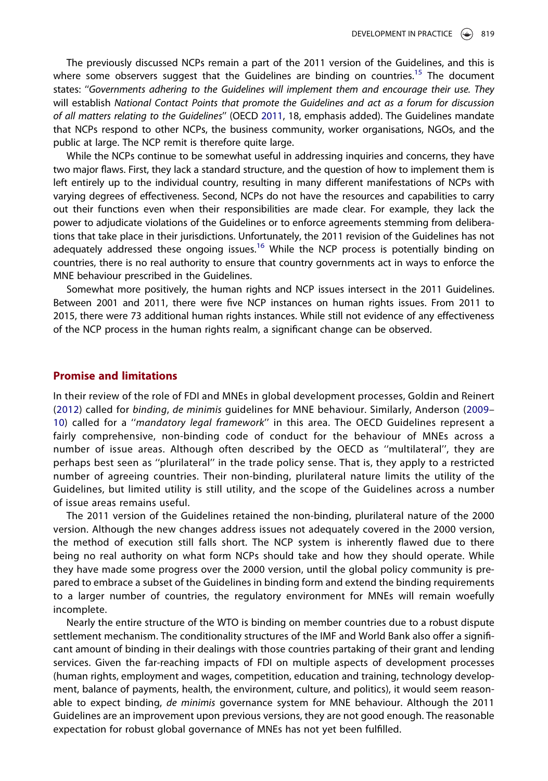<span id="page-4-0"></span>The previously discussed NCPs remain a part of the 2011 version of the Guidelines, and this is where some observers suggest that the Guidelines are binding on countries.<sup>15</sup> The document states: ''Governments adhering to the Guidelines will implement them and encourage their use. They will establish National Contact Points that promote the Guidelines and act as a forum for discussion of all matters relating to the Guidelines'' (OECD [2011,](#page-6-0) 18, emphasis added). The Guidelines mandate that NCPs respond to other NCPs, the business community, worker organisations, NGOs, and the public at large. The NCP remit is therefore quite large.

While the NCPs continue to be somewhat useful in addressing inquiries and concerns, they have two major flaws. First, they lack a standard structure, and the question of how to implement them is left entirely up to the individual country, resulting in many different manifestations of NCPs with varying degrees of effectiveness. Second, NCPs do not have the resources and capabilities to carry out their functions even when their responsibilities are made clear. For example, they lack the power to adjudicate violations of the Guidelines or to enforce agreements stemming from deliberations that take place in their jurisdictions. Unfortunately, the 2011 revision of the Guidelines has not adequately addressed these ongoing issues.<sup>[16](#page-5-0)</sup> While the NCP process is potentially binding on countries, there is no real authority to ensure that country governments act in ways to enforce the MNE behaviour prescribed in the Guidelines.

Somewhat more positively, the human rights and NCP issues intersect in the 2011 Guidelines. Between 2001 and 2011, there were five NCP instances on human rights issues. From 2011 to 2015, there were 73 additional human rights instances. While still not evidence of any effectiveness of the NCP process in the human rights realm, a significant change can be observed.

#### Promise and limitations

In their review of the role of FDI and MNEs in global development processes, Goldin and Reinert ([2012](#page-6-0)) called for binding, de minimis guidelines for MNE behaviour. Similarly, Anderson ([2009](#page-6-0)– [10](#page-6-0)) called for a "mandatory legal framework" in this area. The OECD Guidelines represent a fairly comprehensive, non-binding code of conduct for the behaviour of MNEs across a number of issue areas. Although often described by the OECD as ''multilateral'', they are perhaps best seen as ''plurilateral'' in the trade policy sense. That is, they apply to a restricted number of agreeing countries. Their non-binding, plurilateral nature limits the utility of the Guidelines, but limited utility is still utility, and the scope of the Guidelines across a number of issue areas remains useful.

The 2011 version of the Guidelines retained the non-binding, plurilateral nature of the 2000 version. Although the new changes address issues not adequately covered in the 2000 version, the method of execution still falls short. The NCP system is inherently flawed due to there being no real authority on what form NCPs should take and how they should operate. While they have made some progress over the 2000 version, until the global policy community is prepared to embrace a subset of the Guidelines in binding form and extend the binding requirements to a larger number of countries, the regulatory environment for MNEs will remain woefully incomplete.

Nearly the entire structure of the WTO is binding on member countries due to a robust dispute settlement mechanism. The conditionality structures of the IMF and World Bank also offer a significant amount of binding in their dealings with those countries partaking of their grant and lending services. Given the far-reaching impacts of FDI on multiple aspects of development processes (human rights, employment and wages, competition, education and training, technology development, balance of payments, health, the environment, culture, and politics), it would seem reasonable to expect binding, de minimis governance system for MNE behaviour. Although the 2011 Guidelines are an improvement upon previous versions, they are not good enough. The reasonable expectation for robust global governance of MNEs has not yet been fulfilled.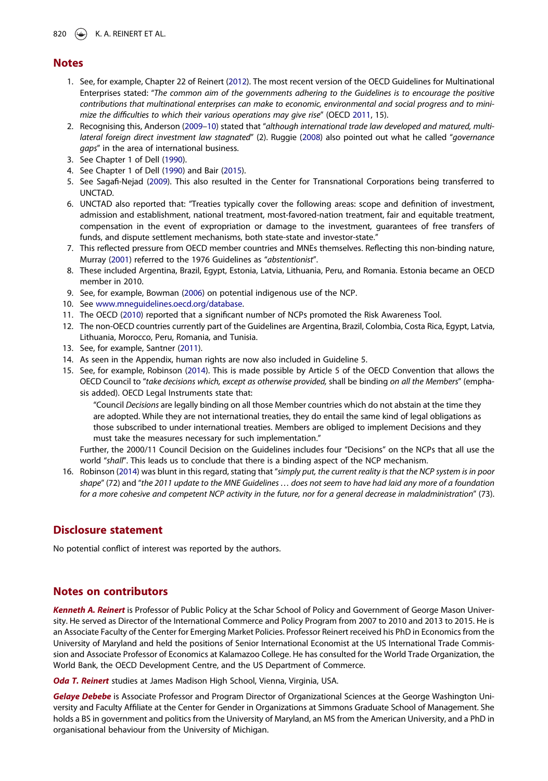#### <span id="page-5-0"></span>**Notes**

- 1. See, for example, Chapter 22 of Reinert ([2012](#page-6-0)). The most recent version of the OECD Guidelines for Multinational Enterprises stated: "The common aim of the governments adhering to the Guidelines is to encourage the positive contributions that multinational enterprises can make to economic, environmental and social progress and to minimize the difficulties to which their various operations may give rise" (OECD [2011,](#page-6-0) 15).
- 2. Recognising this, Anderson [\(2009](#page-6-0)–[10\)](#page-6-0) stated that "although international trade law developed and matured, multilateral foreign direct investment law stagnated" (2). Ruggie [\(2008](#page-6-0)) also pointed out what he called "governance gaps" in the area of international business.
- 3. See Chapter 1 of Dell [\(1990](#page-6-0)).
- 4. See Chapter 1 of Dell [\(1990](#page-6-0)) and Bair [\(2015\)](#page-6-0).
- 5. See Sagafi-Nejad [\(2009\)](#page-6-0). This also resulted in the Center for Transnational Corporations being transferred to UNCTAD.
- 6. UNCTAD also reported that: "Treaties typically cover the following areas: scope and definition of investment, admission and establishment, national treatment, most-favored-nation treatment, fair and equitable treatment, compensation in the event of expropriation or damage to the investment, guarantees of free transfers of funds, and dispute settlement mechanisms, both state-state and investor-state."
- 7. This reflected pressure from OECD member countries and MNEs themselves. Reflecting this non-binding nature, Murray [\(2001](#page-6-0)) referred to the 1976 Guidelines as "abstentionist".
- 8. These included Argentina, Brazil, Egypt, Estonia, Latvia, Lithuania, Peru, and Romania. Estonia became an OECD member in 2010.
- 9. See, for example, Bowman ([2006](#page-6-0)) on potential indigenous use of the NCP.
- 10. See [www.mneguidelines.oecd.org/database](http://www.mneguidelines.oecd.org/database).
- 11. The OECD ([2010\)](#page-6-0) reported that a significant number of NCPs promoted the Risk Awareness Tool.
- 12. The non-OECD countries currently part of the Guidelines are Argentina, Brazil, Colombia, Costa Rica, Egypt, Latvia, Lithuania, Morocco, Peru, Romania, and Tunisia.
- 13. See, for example, Santner [\(2011](#page-6-0)).
- 14. As seen in the Appendix, human rights are now also included in Guideline 5.
- 15. See, for example, Robinson ([2014](#page-6-0)). This is made possible by Article 5 of the OECD Convention that allows the OECD Council to "take decisions which, except as otherwise provided, shall be binding on all the Members" (emphasis added). OECD Legal Instruments state that:

"Council Decisions are legally binding on all those Member countries which do not abstain at the time they are adopted. While they are not international treaties, they do entail the same kind of legal obligations as those subscribed to under international treaties. Members are obliged to implement Decisions and they must take the measures necessary for such implementation."

Further, the 2000/11 Council Decision on the Guidelines includes four "Decisions" on the NCPs that all use the world "shall". This leads us to conclude that there is a binding aspect of the NCP mechanism.

16. Robinson [\(2014](#page-6-0)) was blunt in this regard, stating that "simply put, the current reality is that the NCP system is in poor shape" (72) and "the 2011 update to the MNE Guidelines … does not seem to have had laid any more of a foundation for a more cohesive and competent NCP activity in the future, nor for a general decrease in maladministration" (73).

#### Disclosure statement

No potential conflict of interest was reported by the authors.

#### Notes on contributors

Kenneth A. Reinert is Professor of Public Policy at the Schar School of Policy and Government of George Mason University. He served as Director of the International Commerce and Policy Program from 2007 to 2010 and 2013 to 2015. He is an Associate Faculty of the Center for Emerging Market Policies. Professor Reinert received his PhD in Economics from the University of Maryland and held the positions of Senior International Economist at the US International Trade Commission and Associate Professor of Economics at Kalamazoo College. He has consulted for the World Trade Organization, the World Bank, the OECD Development Centre, and the US Department of Commerce.

Oda T. Reinert studies at James Madison High School, Vienna, Virginia, USA.

Gelaye Debebe is Associate Professor and Program Director of Organizational Sciences at the George Washington University and Faculty Affiliate at the Center for Gender in Organizations at Simmons Graduate School of Management. She holds a BS in government and politics from the University of Maryland, an MS from the American University, and a PhD in organisational behaviour from the University of Michigan.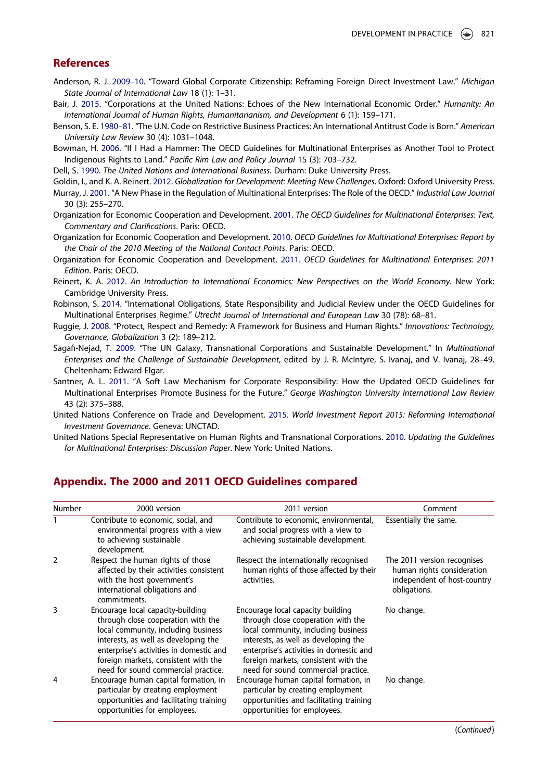#### <span id="page-6-0"></span>References

- Anderson, R. J. [2009](#page-2-0)–10. "Toward Global Corporate Citizenship: Reframing Foreign Direct Investment Law." Michigan State Journal of International Law 18 (1): 1–31.
- Bair, J. [2015](#page-5-0). "Corporations at the United Nations: Echoes of the New International Economic Order." Humanity: An International Journal of Human Rights, Humanitarianism, and Development 6 (1): 159–171.
- Benson, S. E. [1980](#page-2-0)–81. "The U.N. Code on Restrictive Business Practices: An International Antitrust Code is Born." American University Law Review 30 (4): 1031–1048.
- Bowman, H. [2006](#page-5-0). "If I Had a Hammer: The OECD Guidelines for Multinational Enterprises as Another Tool to Protect Indigenous Rights to Land." Pacific Rim Law and Policy Journal 15 (3): 703–732.
- Dell, S. [1990](#page-5-0). The United Nations and International Business. Durham: Duke University Press.
- Goldin, I., and K. A. Reinert. [2012](#page-4-0). Globalization for Development: Meeting New Challenges. Oxford: Oxford University Press.
- Murray, J. [2001](#page-3-0). "A New Phase in the Regulation of Multinational Enterprises: The Role of the OECD." Industrial Law Journal 30 (3): 255–270.
- Organization for Economic Cooperation and Development. [2001.](#page-8-0) The OECD Guidelines for Multinational Enterprises: Text, Commentary and Clarifications. Paris: OECD.
- Organization for Economic Cooperation and Development. [2010.](#page-5-0) OECD Guidelines for Multinational Enterprises: Report by the Chair of the 2010 Meeting of the National Contact Points. Paris: OECD.
- Organization for Economic Cooperation and Development. [2011](#page-3-0). OECD Guidelines for Multinational Enterprises: 2011 Edition. Paris: OECD.
- Reinert, K. A. [2012](#page-5-0). An Introduction to International Economics: New Perspectives on the World Economy. New York: Cambridge University Press.
- Robinson, S. [2014](#page-5-0). "International Obligations, State Responsibility and Judicial Review under the OECD Guidelines for Multinational Enterprises Regime." Utrecht Journal of International and European Law 30 (78): 68–81.
- Ruggie, J. [2008](#page-5-0). "Protect, Respect and Remedy: A Framework for Business and Human Rights." Innovations: Technology, Governance, Globalization 3 (2): 189–212.
- Sagafi-Nejad, T. [2009.](#page-5-0) "The UN Galaxy, Transnational Corporations and Sustainable Development." In Multinational Enterprises and the Challenge of Sustainable Development, edited by J. R. McIntyre, S. Ivanaj, and V. Ivanaj, 28–49. Cheltenham: Edward Elgar.
- Santner, A. L. [2011](#page-5-0). "A Soft Law Mechanism for Corporate Responsibility: How the Updated OECD Guidelines for Multinational Enterprises Promote Business for the Future." George Washington University International Law Review 43 (2): 375–388.
- United Nations Conference on Trade and Development. [2015](#page-2-0). World Investment Report 2015: Reforming International Investment Governance. Geneva: UNCTAD.
- United Nations Special Representative on Human Rights and Transnational Corporations. [2010.](#page-3-0) Updating the Guidelines for Multinational Enterprises: Discussion Paper. New York: United Nations.

| Number         | 2000 version                                                                                                                                                                                                                                                                     | 2011 version                                                                                                                                                                                                                                                                     | Comment                                                                                                  |
|----------------|----------------------------------------------------------------------------------------------------------------------------------------------------------------------------------------------------------------------------------------------------------------------------------|----------------------------------------------------------------------------------------------------------------------------------------------------------------------------------------------------------------------------------------------------------------------------------|----------------------------------------------------------------------------------------------------------|
|                | Contribute to economic, social, and<br>environmental progress with a view<br>to achieving sustainable<br>development.                                                                                                                                                            | Contribute to economic, environmental,<br>and social progress with a view to<br>achieving sustainable development.                                                                                                                                                               | Essentially the same.                                                                                    |
| $\overline{2}$ | Respect the human rights of those<br>affected by their activities consistent<br>with the host government's<br>international obligations and<br>commitments.                                                                                                                      | Respect the internationally recognised<br>human rights of those affected by their<br>activities.                                                                                                                                                                                 | The 2011 version recognises<br>human rights consideration<br>independent of host-country<br>obligations. |
| 3              | Encourage local capacity-building<br>through close cooperation with the<br>local community, including business<br>interests, as well as developing the<br>enterprise's activities in domestic and<br>foreign markets, consistent with the<br>need for sound commercial practice. | Encourage local capacity building<br>through close cooperation with the<br>local community, including business<br>interests, as well as developing the<br>enterprise's activities in domestic and<br>foreign markets, consistent with the<br>need for sound commercial practice. | No change.                                                                                               |
| 4              | Encourage human capital formation, in<br>particular by creating employment<br>opportunities and facilitating training<br>opportunities for employees.                                                                                                                            | Encourage human capital formation, in<br>particular by creating employment<br>opportunities and facilitating training<br>opportunities for employees.                                                                                                                            | No change.                                                                                               |

#### Appendix. The 2000 and 2011 OECD Guidelines compared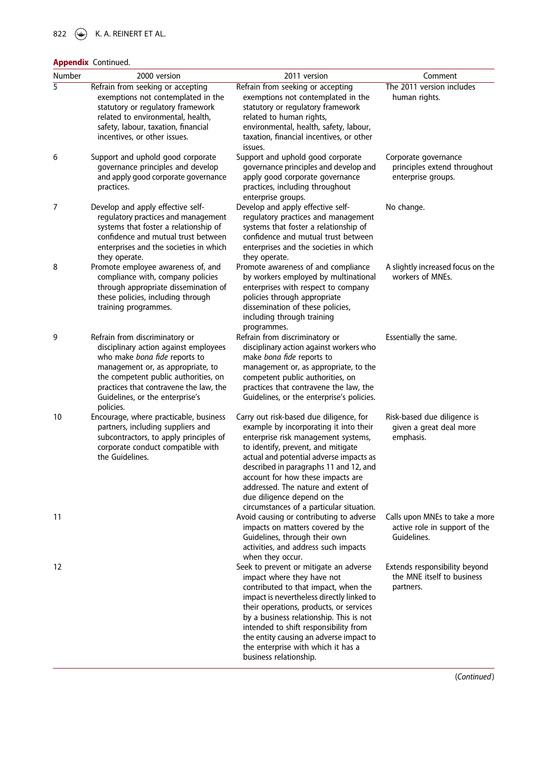#### Appendix Continued.

| Number         | 2000 version                                                                                                                                                                                                                                                                    | 2011 version                                                                                                                                                                                                                                                                                                                                                                                               | Comment                                                                        |
|----------------|---------------------------------------------------------------------------------------------------------------------------------------------------------------------------------------------------------------------------------------------------------------------------------|------------------------------------------------------------------------------------------------------------------------------------------------------------------------------------------------------------------------------------------------------------------------------------------------------------------------------------------------------------------------------------------------------------|--------------------------------------------------------------------------------|
| $\overline{5}$ | Refrain from seeking or accepting<br>exemptions not contemplated in the<br>statutory or regulatory framework<br>related to environmental, health,<br>safety, labour, taxation, financial<br>incentives, or other issues.                                                        | Refrain from seeking or accepting<br>exemptions not contemplated in the<br>statutory or regulatory framework<br>related to human rights,<br>environmental, health, safety, labour,<br>taxation, financial incentives, or other<br>issues.                                                                                                                                                                  | The 2011 version includes<br>human rights.                                     |
| 6              | Support and uphold good corporate<br>governance principles and develop<br>and apply good corporate governance<br>practices.                                                                                                                                                     | Support and uphold good corporate<br>governance principles and develop and<br>apply good corporate governance<br>practices, including throughout<br>enterprise groups.                                                                                                                                                                                                                                     | Corporate governance<br>principles extend throughout<br>enterprise groups.     |
| 7              | Develop and apply effective self-<br>regulatory practices and management<br>systems that foster a relationship of<br>confidence and mutual trust between<br>enterprises and the societies in which<br>they operate.                                                             | Develop and apply effective self-<br>regulatory practices and management<br>systems that foster a relationship of<br>confidence and mutual trust between<br>enterprises and the societies in which<br>they operate.                                                                                                                                                                                        | No change.                                                                     |
| 8              | Promote employee awareness of, and<br>compliance with, company policies<br>through appropriate dissemination of<br>these policies, including through<br>training programmes.                                                                                                    | Promote awareness of and compliance<br>by workers employed by multinational<br>enterprises with respect to company<br>policies through appropriate<br>dissemination of these policies,<br>including through training<br>programmes.                                                                                                                                                                        | A slightly increased focus on the<br>workers of MNEs.                          |
| 9              | Refrain from discriminatory or<br>disciplinary action against employees<br>who make bona fide reports to<br>management or, as appropriate, to<br>the competent public authorities, on<br>practices that contravene the law, the<br>Guidelines, or the enterprise's<br>policies. | Refrain from discriminatory or<br>disciplinary action against workers who<br>make bona fide reports to<br>management or, as appropriate, to the<br>competent public authorities, on<br>practices that contravene the law, the<br>Guidelines, or the enterprise's policies.                                                                                                                                 | Essentially the same.                                                          |
| 10             | Encourage, where practicable, business<br>partners, including suppliers and<br>subcontractors, to apply principles of<br>corporate conduct compatible with<br>the Guidelines.                                                                                                   | Carry out risk-based due diligence, for<br>example by incorporating it into their<br>enterprise risk management systems,<br>to identify, prevent, and mitigate<br>actual and potential adverse impacts as<br>described in paragraphs 11 and 12, and<br>account for how these impacts are<br>addressed. The nature and extent of<br>due diligence depend on the<br>circumstances of a particular situation. | Risk-based due diligence is<br>given a great deal more<br>emphasis.            |
| 11             |                                                                                                                                                                                                                                                                                 | Avoid causing or contributing to adverse<br>impacts on matters covered by the<br>Guidelines, through their own<br>activities, and address such impacts<br>when they occur.                                                                                                                                                                                                                                 | Calls upon MNEs to take a more<br>active role in support of the<br>Guidelines. |
| 12             |                                                                                                                                                                                                                                                                                 | Seek to prevent or mitigate an adverse<br>impact where they have not<br>contributed to that impact, when the<br>impact is nevertheless directly linked to<br>their operations, products, or services<br>by a business relationship. This is not<br>intended to shift responsibility from<br>the entity causing an adverse impact to<br>the enterprise with which it has a<br>business relationship.        | Extends responsibility beyond<br>the MNE itself to business<br>partners.       |

(Continued)